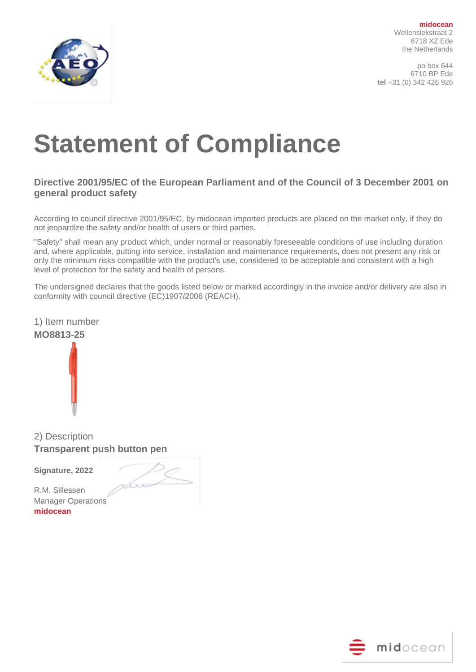

po box 644 6710 BP Ede **tel** +31 (0) 342 426 926

# **Statement of Compliance**

### **Directive 2001/95/EC of the European Parliament and of the Council of 3 December 2001 on general product safety**

According to council directive 2001/95/EC, by midocean imported products are placed on the market only, if they do not jeopardize the safety and/or health of users or third parties.

"Safety" shall mean any product which, under normal or reasonably foreseeable conditions of use including duration and, where applicable, putting into service, installation and maintenance requirements, does not present any risk or only the minimum risks compatible with the product's use, considered to be acceptable and consistent with a high level of protection for the safety and health of persons.

The undersigned declares that the goods listed below or marked accordingly in the invoice and/or delivery are also in conformity with council directive (EC)1907/2006 (REACH).





2) Description **Transparent push button pen**

**Signature, 2022** 

Loo

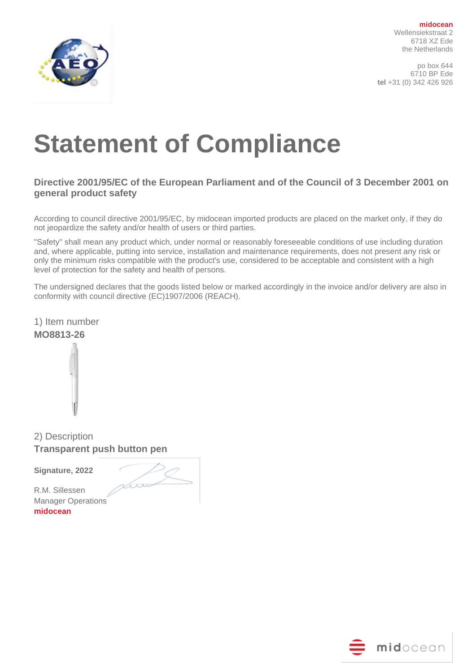

po box 644 6710 BP Ede **tel** +31 (0) 342 426 926

# **Statement of Compliance**

### **Directive 2001/95/EC of the European Parliament and of the Council of 3 December 2001 on general product safety**

According to council directive 2001/95/EC, by midocean imported products are placed on the market only, if they do not jeopardize the safety and/or health of users or third parties.

"Safety" shall mean any product which, under normal or reasonably foreseeable conditions of use including duration and, where applicable, putting into service, installation and maintenance requirements, does not present any risk or only the minimum risks compatible with the product's use, considered to be acceptable and consistent with a high level of protection for the safety and health of persons.

The undersigned declares that the goods listed below or marked accordingly in the invoice and/or delivery are also in conformity with council directive (EC)1907/2006 (REACH).

1) Item number **MO8813-26**



2) Description **Transparent push button pen**

**Signature, 2022** 

am

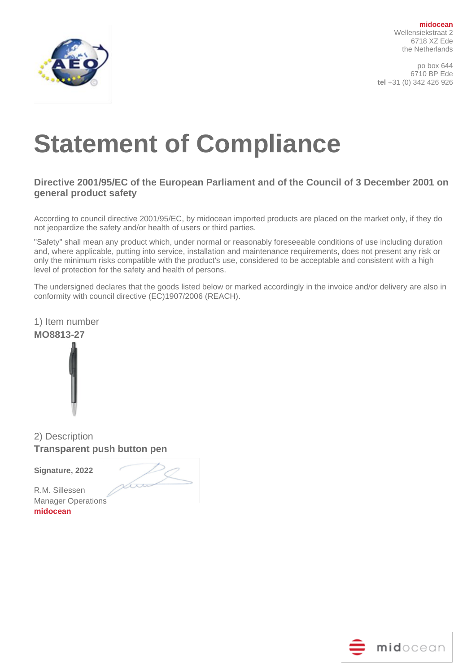

po box 644 6710 BP Ede **tel** +31 (0) 342 426 926

# **Statement of Compliance**

### **Directive 2001/95/EC of the European Parliament and of the Council of 3 December 2001 on general product safety**

According to council directive 2001/95/EC, by midocean imported products are placed on the market only, if they do not jeopardize the safety and/or health of users or third parties.

"Safety" shall mean any product which, under normal or reasonably foreseeable conditions of use including duration and, where applicable, putting into service, installation and maintenance requirements, does not present any risk or only the minimum risks compatible with the product's use, considered to be acceptable and consistent with a high level of protection for the safety and health of persons.

The undersigned declares that the goods listed below or marked accordingly in the invoice and/or delivery are also in conformity with council directive (EC)1907/2006 (REACH).

1) Item number **MO8813-27**



2) Description **Transparent push button pen**

**Signature, 2022** 

Loo

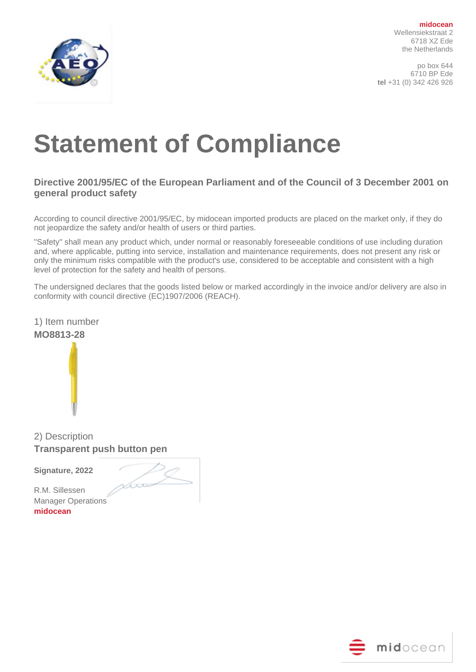

po box 644 6710 BP Ede **tel** +31 (0) 342 426 926

# **Statement of Compliance**

### **Directive 2001/95/EC of the European Parliament and of the Council of 3 December 2001 on general product safety**

According to council directive 2001/95/EC, by midocean imported products are placed on the market only, if they do not jeopardize the safety and/or health of users or third parties.

"Safety" shall mean any product which, under normal or reasonably foreseeable conditions of use including duration and, where applicable, putting into service, installation and maintenance requirements, does not present any risk or only the minimum risks compatible with the product's use, considered to be acceptable and consistent with a high level of protection for the safety and health of persons.

The undersigned declares that the goods listed below or marked accordingly in the invoice and/or delivery are also in conformity with council directive (EC)1907/2006 (REACH).

1) Item number **MO8813-28**



2) Description **Transparent push button pen**

**Signature, 2022** 

am

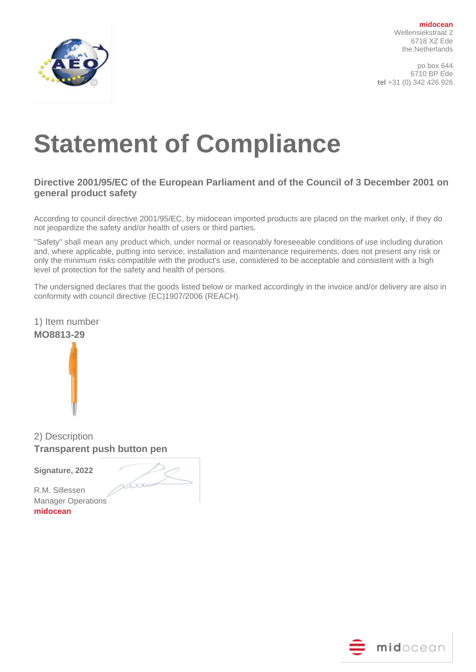

po box 644 6710 BP Ede **tel** +31 (0) 342 426 926

# **Statement of Compliance**

### **Directive 2001/95/EC of the European Parliament and of the Council of 3 December 2001 on general product safety**

According to council directive 2001/95/EC, by midocean imported products are placed on the market only, if they do not jeopardize the safety and/or health of users or third parties.

"Safety" shall mean any product which, under normal or reasonably foreseeable conditions of use including duration and, where applicable, putting into service, installation and maintenance requirements, does not present any risk or only the minimum risks compatible with the product's use, considered to be acceptable and consistent with a high level of protection for the safety and health of persons.

The undersigned declares that the goods listed below or marked accordingly in the invoice and/or delivery are also in conformity with council directive (EC)1907/2006 (REACH).





2) Description **Transparent push button pen**

**Signature, 2022** 

Loo

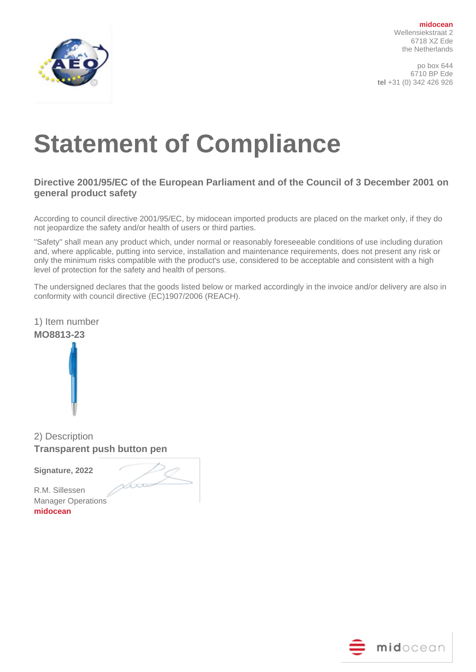

po box 644 6710 BP Ede **tel** +31 (0) 342 426 926

# **Statement of Compliance**

### **Directive 2001/95/EC of the European Parliament and of the Council of 3 December 2001 on general product safety**

According to council directive 2001/95/EC, by midocean imported products are placed on the market only, if they do not jeopardize the safety and/or health of users or third parties.

"Safety" shall mean any product which, under normal or reasonably foreseeable conditions of use including duration and, where applicable, putting into service, installation and maintenance requirements, does not present any risk or only the minimum risks compatible with the product's use, considered to be acceptable and consistent with a high level of protection for the safety and health of persons.

The undersigned declares that the goods listed below or marked accordingly in the invoice and/or delivery are also in conformity with council directive (EC)1907/2006 (REACH).





2) Description **Transparent push button pen**

**Signature, 2022** 

Loo